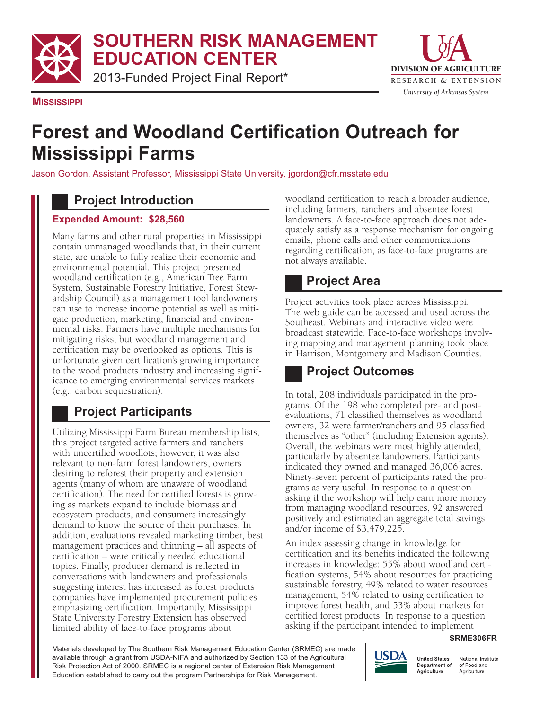**SOUTHERN RISK MANAGEMENT EDUCATION CENTER**

2013-Funded Project Final Report\*



**MISSISSIPPI**

# **Forest and Woodland Certification Outreach for Mississippi Farms**

Jason Gordon, Assistant Professor, Mississippi State University, jgordon@cfr.msstate.edu

### **Project Introduction**

#### **Expended Amount: \$28,560**

Many farms and other rural properties in Mississippi contain unmanaged woodlands that, in their current state, are unable to fully realize their economic and environmental potential. This project presented woodland certification (e.g., American Tree Farm System, Sustainable Forestry Initiative, Forest Stewardship Council) as a management tool landowners can use to increase income potential as well as mitigate production, marketing, financial and environmental risks. Farmers have multiple mechanisms for mitigating risks, but woodland management and certification may be overlooked as options. This is unfortunate given certification's growing importance to the wood products industry and increasing significance to emerging environmental services markets (e.g., carbon sequestration).

# **Project Participants**

Utilizing Mississippi Farm Bureau membership lists, this project targeted active farmers and ranchers with uncertified woodlots; however, it was also relevant to non-farm forest landowners, owners desiring to reforest their property and extension agents (many of whom are unaware of woodland certification). The need for certified forests is growing as markets expand to include biomass and ecosystem products, and consumers increasingly demand to know the source of their purchases. In addition, evaluations revealed marketing timber, best management practices and thinning – all aspects of certification – were critically needed educational topics. Finally, producer demand is reflected in conversations with landowners and professionals suggesting interest has increased as forest products companies have implemented procurement policies emphasizing certification. Importantly, Mississippi State University Forestry Extension has observed limited ability of face-to-face programs about

woodland certification to reach a broader audience, including farmers, ranchers and absentee forest landowners. A face-to-face approach does not adequately satisfy as a response mechanism for ongoing emails, phone calls and other communications regarding certification, as face-to-face programs are not always available.

# **Project Area**

Project activities took place across Mississippi. The web guide can be accessed and used across the Southeast. Webinars and interactive video were broadcast statewide. Face-to-face workshops involving mapping and management planning took place in Harrison, Montgomery and Madison Counties.

# **Project Outcomes**

In total, 208 individuals participated in the programs. Of the 198 who completed pre- and postevaluations, 71 classified themselves as woodland owners, 32 were farmer/ranchers and 95 classified themselves as "other" (including Extension agents). Overall, the webinars were most highly attended, particularly by absentee landowners. Participants indicated they owned and managed 36,006 acres. Ninety-seven percent of participants rated the programs as very useful. In response to a question asking if the workshop will help earn more money from managing woodland resources, 92 answered positively and estimated an aggregate total savings and/or income of \$3,479,225.

An index assessing change in knowledge for certification and its benefits indicated the following increases in knowledge: 55% about woodland certification systems, 54% about resources for practicing sustainable forestry, 49% related to water resources management, 54% related to using certification to improve forest health, and 53% about markets for certified forest products. In response to a question asking if the participant intended to implement

#### **SRME306FR**

Materials developed by The Southern Risk Management Education Center (SRMEC) are made available through a grant from USDA-NIFA and authorized by Section 133 of the Agricultural Risk Protection Act of 2000. SRMEC is a regional center of Extension Risk Management Education established to carry out the program Partnerships for Risk Management.



National Institute of Food and Agriculture